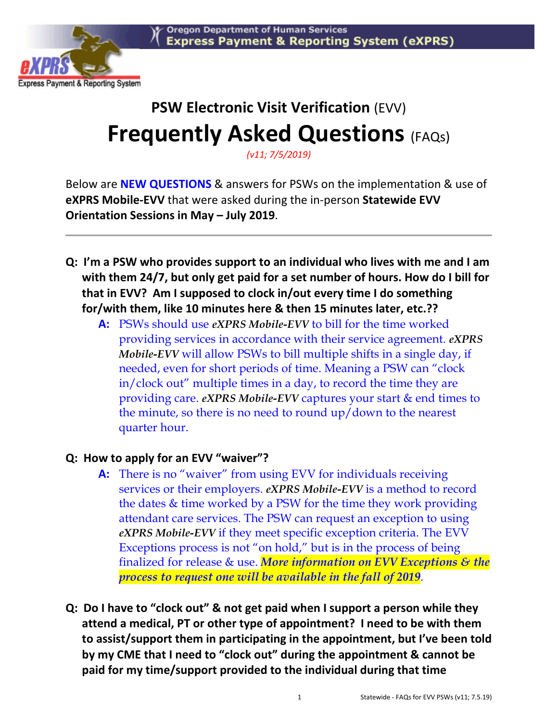

# **PSW Electronic Visit Verification** (EVV) **Frequently Asked Questions (FAQs)**

*(v11; 7/5/2019)* 

Below are **NEW QUESTIONS** & answers for PSWs on the implementation & use of **eXPRS Mobile-EVV** that were asked during the in-person **Statewide EVV Orientation Sessions in May – July 2019**.

- **Q: I'm a PSW who provides support to an individual who lives with me and I am with them 24/7, but only get paid for a set number of hours. How do I bill for that in EVV? Am I supposed to clock in/out every time I do something for/with them, like 10 minutes here & then 15 minutes later, etc.??** 
	- **A:** PSWs should use *eXPRS Mobile-EVV* to bill for the time worked providing services in accordance with their service agreement. *eXPRS Mobile-EVV* will allow PSWs to bill multiple shifts in a single day, if needed, even for short periods of time. Meaning a PSW can "clock in/clock out" multiple times in a day, to record the time they are providing care. *eXPRS Mobile-EVV* captures your start & end times to the minute, so there is no need to round up/down to the nearest quarter hour.

#### **Q: How to apply for an EVV "waiver"?**

- **A:** There is no "waiver" from using EVV for individuals receiving services or their employers. *eXPRS Mobile-EVV* is a method to record the dates & time worked by a PSW for the time they work providing attendant care services. The PSW can request an exception to using *eXPRS Mobile-EVV* if they meet specific exception criteria. The EVV Exceptions process is not "on hold," but is in the process of being finalized for release & use. *More information on EVV Exceptions & the process to request one will be available in the fall of 2019*.
- **Q: Do I have to "clock out" & not get paid when I support a person while they attend a medical, PT or other type of appointment? I need to be with them to assist/support them in participating in the appointment, but I've been told by my CME that I need to "clock out" during the appointment & cannot be paid for my time/support provided to the individual during that time**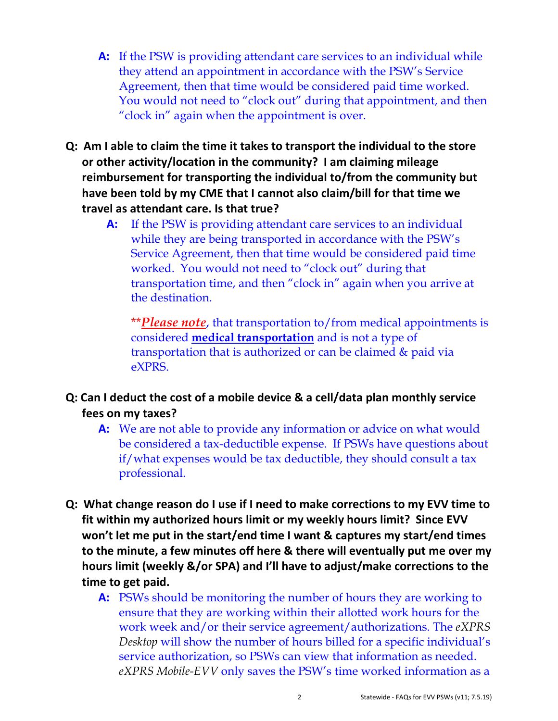- **A:** If the PSW is providing attendant care services to an individual while they attend an appointment in accordance with the PSW's Service Agreement, then that time would be considered paid time worked. You would not need to "clock out" during that appointment, and then "clock in" again when the appointment is over.
- **Q: Am I able to claim the time it takes to transport the individual to the store or other activity/location in the community? I am claiming mileage reimbursement for transporting the individual to/from the community but have been told by my CME that I cannot also claim/bill for that time we travel as attendant care. Is that true?** 
	- **A:** If the PSW is providing attendant care services to an individual while they are being transported in accordance with the PSW's Service Agreement, then that time would be considered paid time worked. You would not need to "clock out" during that transportation time, and then "clock in" again when you arrive at the destination.

 \*\**Please note*, that transportation to/from medical appointments is considered **medical transportation** and is not a type of transportation that is authorized or can be claimed & paid via eXPRS.

#### **Q: Can I deduct the cost of a mobile device & a cell/data plan monthly service fees on my taxes?**

- **A:** We are not able to provide any information or advice on what would be considered a tax-deductible expense. If PSWs have questions about if/what expenses would be tax deductible, they should consult a tax professional.
- **Q: What change reason do I use if I need to make corrections to my EVV time to fit within my authorized hours limit or my weekly hours limit? Since EVV won't let me put in the start/end time I want & captures my start/end times to the minute, a few minutes off here & there will eventually put me over my hours limit (weekly &/or SPA) and I'll have to adjust/make corrections to the time to get paid.** 
	- **A:** PSWs should be monitoring the number of hours they are working to ensure that they are working within their allotted work hours for the work week and/or their service agreement/authorizations. The *eXPRS Desktop* will show the number of hours billed for a specific individual's service authorization, so PSWs can view that information as needed. *eXPRS Mobile-EVV* only saves the PSW's time worked information as a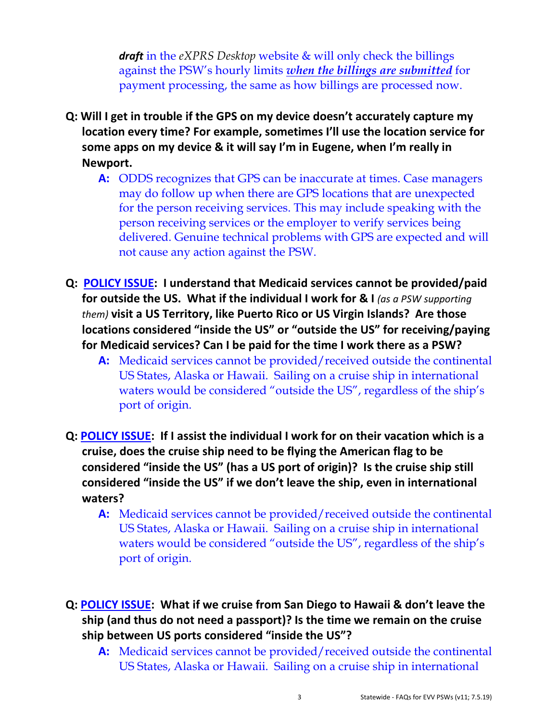*draft* in the *eXPRS Desktop* website & will only check the billings against the PSW's hourly limits *when the billings are submitted* for payment processing, the same as how billings are processed now.

- **Q: Will I get in trouble if the GPS on my device doesn't accurately capture my location every time? For example, sometimes I'll use the location service for some apps on my device & it will say I'm in Eugene, when I'm really in Newport.** 
	- **A:** ODDS recognizes that GPS can be inaccurate at times. Case managers may do follow up when there are GPS locations that are unexpected for the person receiving services. This may include speaking with the person receiving services or the employer to verify services being delivered. Genuine technical problems with GPS are expected and will not cause any action against the PSW.
- **Q: POLICY ISSUE: I understand that Medicaid services cannot be provided/paid for outside the US. What if the individual I work for & I** (as a PSW supporting *them)* **visit a US Territory, like Puerto Rico or US Virgin Islands? Are those locations considered "inside the US" or "outside the US" for receiving/paying for Medicaid services? Can I be paid for the time I work there as a PSW?** 
	- **A:** Medicaid services cannot be provided/received outside the continental US States, Alaska or Hawaii. Sailing on a cruise ship in international waters would be considered "outside the US", regardless of the ship's port of origin.
- **Q: POLICY ISSUE: If I assist the individual I work for on their vacation which is a cruise, does the cruise ship need to be flying the American flag to be considered "inside the US" (has a US port of origin)? Is the cruise ship still considered "inside the US" if we don't leave the ship, even in international waters?** 
	- **A:** Medicaid services cannot be provided/received outside the continental US States, Alaska or Hawaii. Sailing on a cruise ship in international waters would be considered "outside the US", regardless of the ship's port of origin.
- **Q: POLICY ISSUE: What if we cruise from San Diego to Hawaii & don't leave the ship (and thus do not need a passport)? Is the time we remain on the cruise ship between US ports considered "inside the US"?** 
	- **A:** Medicaid services cannot be provided/received outside the continental US States, Alaska or Hawaii. Sailing on a cruise ship in international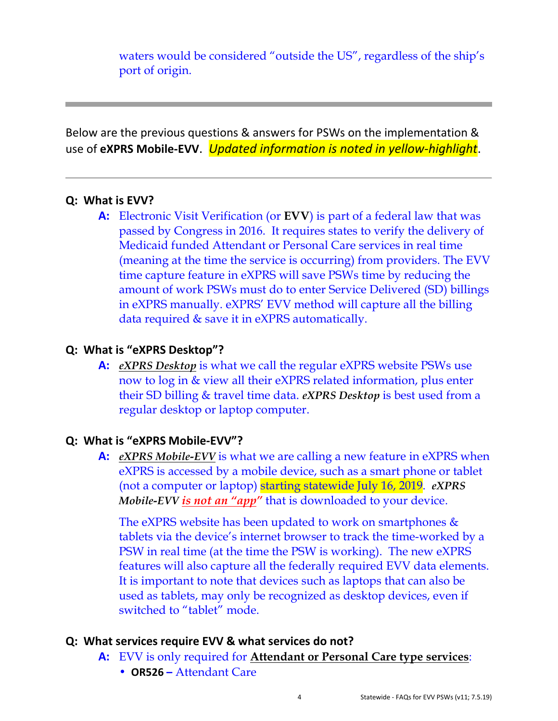waters would be considered "outside the US", regardless of the ship's port of origin.

Below are the previous questions & answers for PSWs on the implementation & use of **eXPRS Mobile-EVV**. *Updated information is noted in yellow-highlight*.

#### **Q: What is EVV?**

**A:** Electronic Visit Verification (or **EVV**) is part of a federal law that was passed by Congress in 2016. It requires states to verify the delivery of Medicaid funded Attendant or Personal Care services in real time (meaning at the time the service is occurring) from providers. The EVV time capture feature in eXPRS will save PSWs time by reducing the amount of work PSWs must do to enter Service Delivered (SD) billings in eXPRS manually. eXPRS' EVV method will capture all the billing data required & save it in eXPRS automatically.

#### **Q: What is "eXPRS Desktop"?**

**A:** *eXPRS Desktop* is what we call the regular eXPRS website PSWs use now to log in & view all their eXPRS related information, plus enter their SD billing & travel time data. *eXPRS Desktop* is best used from a regular desktop or laptop computer.

#### **Q: What is "eXPRS Mobile-EVV"?**

**A:** *eXPRS Mobile-EVV* is what we are calling a new feature in eXPRS when eXPRS is accessed by a mobile device, such as a smart phone or tablet (not a computer or laptop) starting statewide July 16, 2019. *eXPRS Mobile-EVV is not an "app"* that is downloaded to your device.

The eXPRS website has been updated to work on smartphones  $\&$ tablets via the device's internet browser to track the time-worked by a PSW in real time (at the time the PSW is working). The new eXPRS features will also capture all the federally required EVV data elements. It is important to note that devices such as laptops that can also be used as tablets, may only be recognized as desktop devices, even if switched to "tablet" mode.

#### **Q: What services require EVV & what services do not?**

- **A:** EVV is only required for **Attendant or Personal Care type services**:
	- **OR526 –** Attendant Care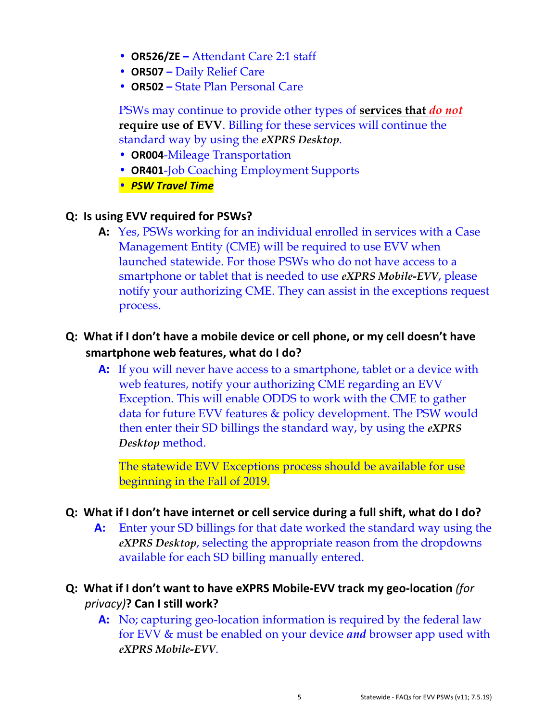- **OR526/ZE –** Attendant Care 2:1 staff
- **OR507 –** Daily Relief Care
- **OR502 –** State Plan Personal Care

PSWs may continue to provide other types of **services that** *do not* **require use of EVV**. Billing for these services will continue the standard way by using the *eXPRS Desktop*.

- **OR004**-Mileage Transportation
- **OR401**-Job Coaching Employment Supports
- *PSW Travel Time*

#### **Q: Is using EVV required for PSWs?**

**A:** Yes, PSWs working for an individual enrolled in services with a Case Management Entity (CME) will be required to use EVV when launched statewide. For those PSWs who do not have access to a smartphone or tablet that is needed to use *eXPRS Mobile-EVV*, please notify your authorizing CME. They can assist in the exceptions request process.

#### **Q: What if I don't have a mobile device or cell phone, or my cell doesn't have smartphone web features, what do I do?**

**A:** If you will never have access to a smartphone, tablet or a device with web features, notify your authorizing CME regarding an EVV Exception. This will enable ODDS to work with the CME to gather data for future EVV features & policy development. The PSW would then enter their SD billings the standard way, by using the *eXPRS Desktop* method.

 The statewide EVV Exceptions process should be available for use beginning in the Fall of 2019.

#### **Q: What if I don't have internet or cell service during a full shift, what do I do?**

**A:** Enter your SD billings for that date worked the standard way using the *eXPRS Desktop*, selecting the appropriate reason from the dropdowns available for each SD billing manually entered.

#### **Q: What if I don't want to have eXPRS Mobile-EVV track my geo-location** *(for privacy)***? Can I still work?**

**A:** No; capturing geo-location information is required by the federal law for EVV & must be enabled on your device *and* browser app used with *eXPRS Mobile-EVV*.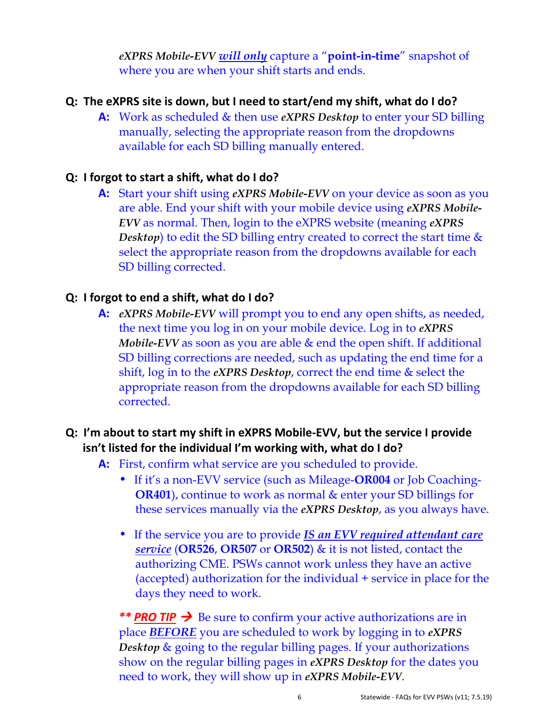*eXPRS Mobile-EVV will only* capture a "**point-in-time**" snapshot of where you are when your shift starts and ends.

#### **Q: The eXPRS site is down, but I need to start/end my shift, what do I do?**

**A:** Work as scheduled & then use *eXPRS Desktop* to enter your SD billing manually, selecting the appropriate reason from the dropdowns available for each SD billing manually entered.

#### **Q: I forgot to start a shift, what do I do?**

**A:** Start your shift using *eXPRS Mobile-EVV* on your device as soon as you are able. End your shift with your mobile device using *eXPRS Mobile-EVV* as normal. Then, login to the eXPRS website (meaning *eXPRS Desktop*) to edit the SD billing entry created to correct the start time & select the appropriate reason from the dropdowns available for each SD billing corrected.

#### **Q: I forgot to end a shift, what do I do?**

**A:** *eXPRS Mobile-EVV* will prompt you to end any open shifts, as needed, the next time you log in on your mobile device. Log in to *eXPRS Mobile-EVV* as soon as you are able & end the open shift. If additional SD billing corrections are needed, such as updating the end time for a shift, log in to the *eXPRS Desktop*, correct the end time & select the appropriate reason from the dropdowns available for each SD billing corrected.

#### **Q: I'm about to start my shift in eXPRS Mobile-EVV, but the service I provide isn't listed for the individual I'm working with, what do I do?**

- **A:** First, confirm what service are you scheduled to provide.
	- If it's a non-EVV service (such as Mileage-**OR004** or Job Coaching-**OR401**), continue to work as normal & enter your SD billings for these services manually via the *eXPRS Desktop*, as you always have.
	- If the service you are to provide *IS an EVV required attendant care service* (**OR526**, **OR507** or **OR502**) & it is not listed, contact the authorizing CME. PSWs cannot work unless they have an active (accepted) authorization for the individual + service in place for the days they need to work.

\*\* **PRO TIP**  $\rightarrow$  Be sure to confirm your active authorizations are in place *BEFORE* you are scheduled to work by logging in to *eXPRS Desktop* & going to the regular billing pages. If your authorizations show on the regular billing pages in *eXPRS Desktop* for the dates you need to work, they will show up in *eXPRS Mobile-EVV*.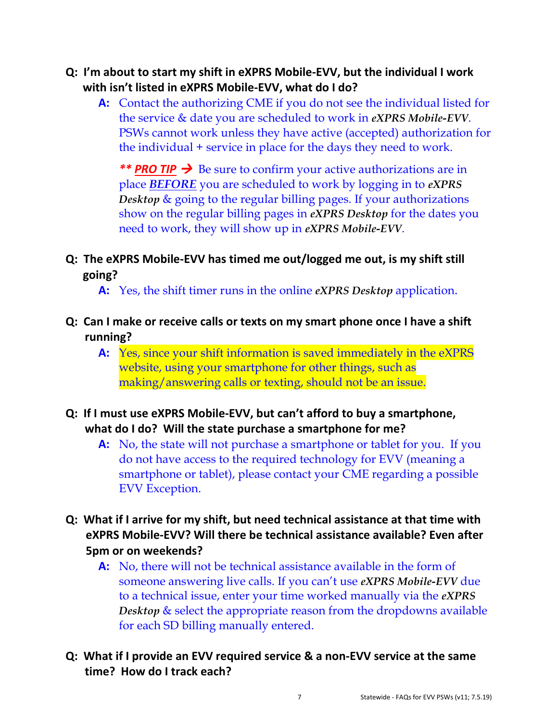- **Q: I'm about to start my shift in eXPRS Mobile-EVV, but the individual I work with isn't listed in eXPRS Mobile-EVV, what do I do?** 
	- **A:** Contact the authorizing CME if you do not see the individual listed for the service & date you are scheduled to work in *eXPRS Mobile-EVV*. PSWs cannot work unless they have active (accepted) authorization for the individual + service in place for the days they need to work.

\*\* **PRO TIP**  $\rightarrow$  Be sure to confirm your active authorizations are in place *BEFORE* you are scheduled to work by logging in to *eXPRS Desktop* & going to the regular billing pages. If your authorizations show on the regular billing pages in *eXPRS Desktop* for the dates you need to work, they will show up in *eXPRS Mobile-EVV*.

#### **Q: The eXPRS Mobile-EVV has timed me out/logged me out, is my shift still going?**

**A:** Yes, the shift timer runs in the online *eXPRS Desktop* application.

- **Q: Can I make or receive calls or texts on my smart phone once I have a shift running?** 
	- **A:** Yes, since your shift information is saved immediately in the eXPRS website, using your smartphone for other things, such as making/answering calls or texting, should not be an issue.
- **Q: If I must use eXPRS Mobile-EVV, but can't afford to buy a smartphone, what do I do? Will the state purchase a smartphone for me?** 
	- **A:** No, the state will not purchase a smartphone or tablet for you. If you do not have access to the required technology for EVV (meaning a smartphone or tablet), please contact your CME regarding a possible EVV Exception.
- **Q: What if I arrive for my shift, but need technical assistance at that time with eXPRS Mobile-EVV? Will there be technical assistance available? Even after 5pm or on weekends?** 
	- **A:** No, there will not be technical assistance available in the form of someone answering live calls. If you can't use *eXPRS Mobile-EVV* due to a technical issue, enter your time worked manually via the *eXPRS*  **Desktop** & select the appropriate reason from the dropdowns available for each SD billing manually entered.
- **Q: What if I provide an EVV required service & a non-EVV service at the same time? How do I track each?**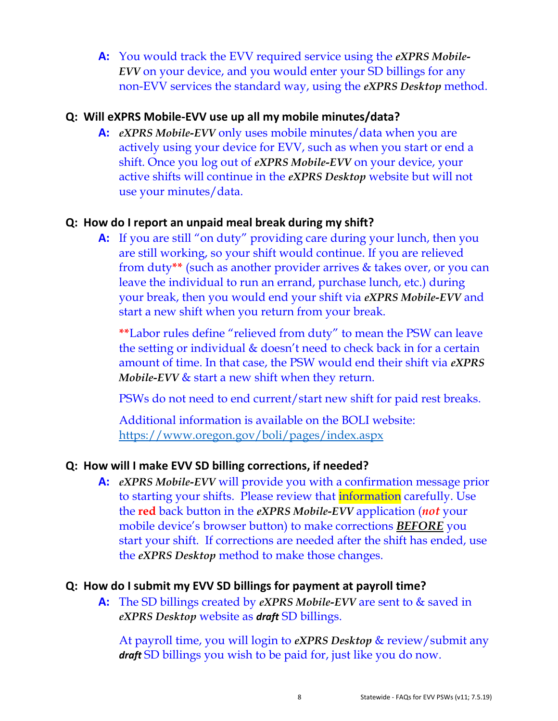**A:** You would track the EVV required service using the *eXPRS Mobile-EVV* on your device, and you would enter your SD billings for any non-EVV services the standard way, using the *eXPRS Desktop* method.

#### **Q: Will eXPRS Mobile-EVV use up all my mobile minutes/data?**

**A:** *eXPRS Mobile-EVV* only uses mobile minutes/data when you are actively using your device for EVV, such as when you start or end a shift. Once you log out of *eXPRS Mobile-EVV* on your device, your active shifts will continue in the *eXPRS Desktop* website but will not use your minutes/data.

#### **Q: How do I report an unpaid meal break during my shift?**

**A:** If you are still "on duty" providing care during your lunch, then you are still working, so your shift would continue. If you are relieved from duty**\*\*** (such as another provider arrives & takes over, or you can leave the individual to run an errand, purchase lunch, etc.) during your break, then you would end your shift via *eXPRS Mobile-EVV* and start a new shift when you return from your break.

**\*\***Labor rules define "relieved from duty" to mean the PSW can leave the setting or individual & doesn't need to check back in for a certain amount of time. In that case, the PSW would end their shift via *eXPRS Mobile-EVV & start a new shift when they return.* 

PSWs do not need to end current/start new shift for paid rest breaks.

Additional information is available on the BOLI website: https://www.oregon.gov/boli/pages/index.aspx

#### **Q: How will I make EVV SD billing corrections, if needed?**

**A:** *eXPRS Mobile-EVV* will provide you with a confirmation message prior to starting your shifts. Please review that **information** carefully. Use the **red** back button in the *eXPRS Mobile-EVV* application (*not* your mobile device's browser button) to make corrections *BEFORE* you start your shift. If corrections are needed after the shift has ended, use the *eXPRS Desktop* method to make those changes.

#### **Q: How do I submit my EVV SD billings for payment at payroll time?**

**A:** The SD billings created by *eXPRS Mobile-EVV* are sent to & saved in *eXPRS Desktop* website as *draft* SD billings.

At payroll time, you will login to *eXPRS Desktop* & review/submit any *draft* SD billings you wish to be paid for, just like you do now.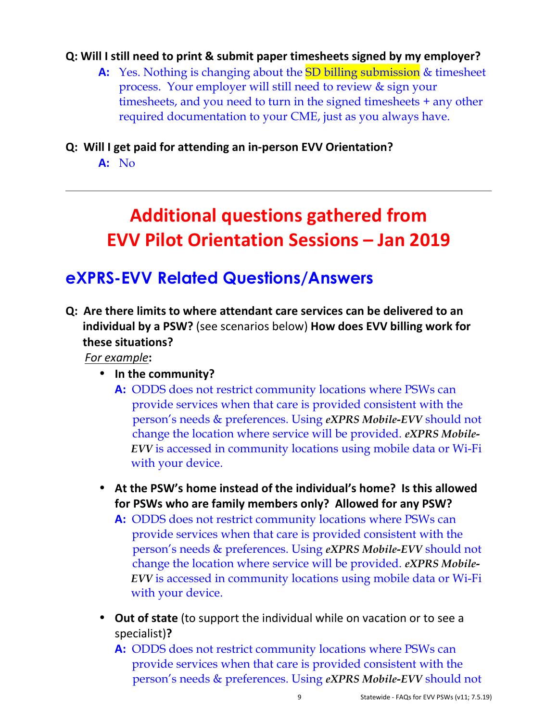#### **Q: Will I still need to print & submit paper timesheets signed by my employer?**

**A:** Yes. Nothing is changing about the SD billing submission & timesheet process. Your employer will still need to review & sign your timesheets, and you need to turn in the signed timesheets + any other required documentation to your CME, just as you always have.

#### **Q: Will I get paid for attending an in-person EVV Orientation?**

**A:** No

## **Additional questions gathered from EVV Pilot Orientation Sessions – Jan 2019**

### **eXPRS-EVV Related Questions/Answers**

**Q: Are there limits to where attendant care services can be delivered to an individual by a PSW?** (see scenarios below) **How does EVV billing work for these situations?** 

*For example***:** 

- **In the community?** 
	- **A:**ODDS does not restrict community locations where PSWs can provide services when that care is provided consistent with the person's needs & preferences. Using *eXPRS Mobile-EVV* should not change the location where service will be provided. *eXPRS Mobile- EVV* is accessed in community locations using mobile data or Wi-Fi with your device.
- **At the PSW's home instead of the individual's home? Is this allowed for PSWs who are family members only? Allowed for any PSW?** 
	- **A:**ODDS does not restrict community locations where PSWs can provide services when that care is provided consistent with the person's needs & preferences. Using *eXPRS Mobile-EVV* should not change the location where service will be provided. *eXPRS Mobile- EVV* is accessed in community locations using mobile data or Wi-Fi with your device.
- **Out of state** (to support the individual while on vacation or to see a specialist)**?** 
	- **A:**ODDS does not restrict community locations where PSWs can provide services when that care is provided consistent with the person's needs & preferences. Using *eXPRS Mobile-EVV* should not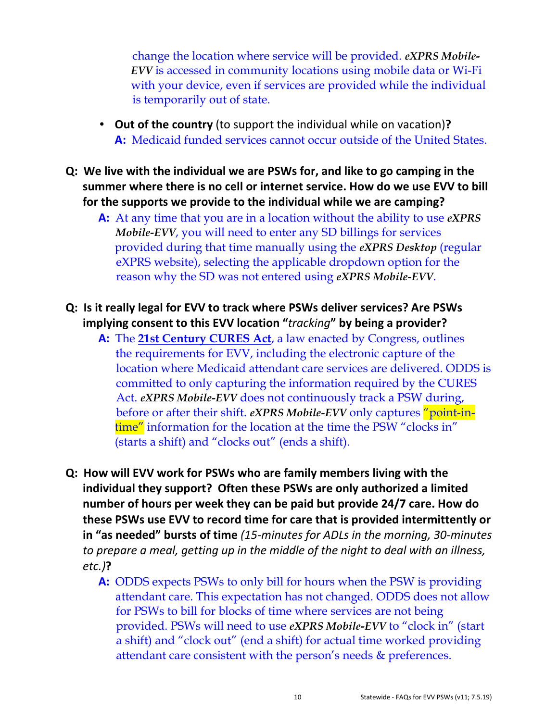change the location where service will be provided. *eXPRS Mobile- EVV* is accessed in community locations using mobile data or Wi-Fi with your device, even if services are provided while the individual is temporarily out of state.

- **Out of the country** (to support the individual while on vacation)**? A:** Medicaid funded services cannot occur outside of the United States.
- **Q: We live with the individual we are PSWs for, and like to go camping in the summer where there is no cell or internet service. How do we use EVV to bill for the supports we provide to the individual while we are camping?** 
	- **A:** At any time that you are in a location without the ability to use *eXPRS Mobile-EVV*, you will need to enter any SD billings for services provided during that time manually using the *eXPRS Desktop* (regular eXPRS website), selecting the applicable dropdown option for the reason why the SD was not entered using *eXPRS Mobile-EVV*.
- **Q: Is it really legal for EVV to track where PSWs deliver services? Are PSWs implying consent to this EVV location "***tracking***" by being a provider?** 
	- **A:** The **21st Century CURES Act**, a law enacted by Congress, outlines the requirements for EVV, including the electronic capture of the location where Medicaid attendant care services are delivered. ODDS is committed to only capturing the information required by the CURES Act. *eXPRS Mobile-EVV* does not continuously track a PSW during, before or after their shift. *eXPRS Mobile-EVV* only captures "point-intime" information for the location at the time the PSW "clocks in" (starts a shift) and "clocks out" (ends a shift).
- **Q: How will EVV work for PSWs who are family members living with the individual they support? Often these PSWs are only authorized a limited number of hours per week they can be paid but provide 24/7 care. How do these PSWs use EVV to record time for care that is provided intermittently or in "as needed" bursts of time** *(15-minutes for ADLs in the morning, 30-minutes to prepare a meal, getting up in the middle of the night to deal with an illness, etc.)***?** 
	- **A:** ODDS expects PSWs to only bill for hours when the PSW is providing attendant care. This expectation has not changed. ODDS does not allow for PSWs to bill for blocks of time where services are not being provided. PSWs will need to use *eXPRS Mobile-EVV* to "clock in" (start a shift) and "clock out" (end a shift) for actual time worked providing attendant care consistent with the person's needs & preferences.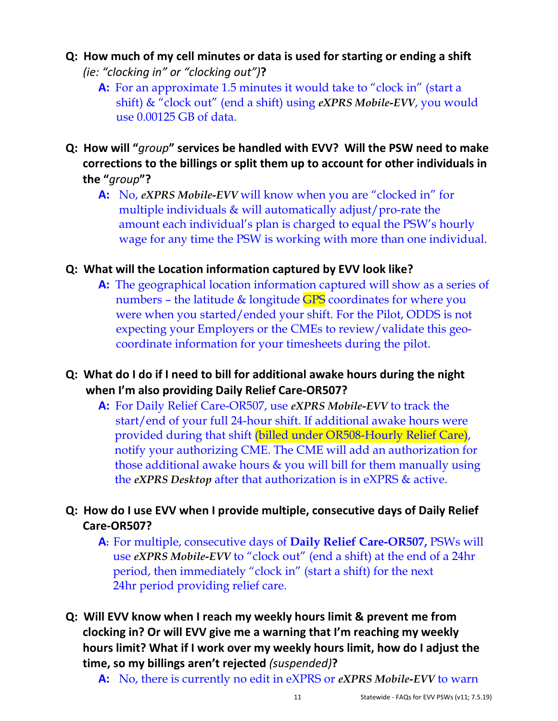- **Q: How much of my cell minutes or data is used for starting or ending a shift** *(ie: "clocking in" or "clocking out")***?** 
	- **A:** For an approximate 1.5 minutes it would take to "clock in" (start a shift) & "clock out" (end a shift) using *eXPRS Mobile-EVV*, you would use 0.00125 GB of data.
- **Q: How will "***group***" services be handled with EVV? Will the PSW need to make corrections to the billings or split them up to account for other individuals in the "***group***"?** 
	- **A:** No, *eXPRS Mobile-EVV* will know when you are "clocked in" for multiple individuals & will automatically adjust/pro-rate the amount each individual's plan is charged to equal the PSW's hourly wage for any time the PSW is working with more than one individual.

#### **Q: What will the Location information captured by EVV look like?**

- **A:** The geographical location information captured will show as a series of numbers – the latitude & longitude GPS coordinates for where you were when you started/ended your shift. For the Pilot, ODDS is not expecting your Employers or the CMEs to review/validate this geo coordinate information for your timesheets during the pilot.
- **Q: What do I do if I need to bill for additional awake hours during the night when I'm also providing Daily Relief Care-OR507?** 
	- **A:**For Daily Relief Care-OR507, use *eXPRS Mobile-EVV* to track the start/end of your full 24-hour shift. If additional awake hours were provided during that shift (billed under OR508-Hourly Relief Care), notify your authorizing CME. The CME will add an authorization for those additional awake hours & you will bill for them manually using the *eXPRS Desktop* after that authorization is in eXPRS & active.

**Q: How do I use EVV when I provide multiple, consecutive days of Daily Relief Care-OR507?** 

- **A:** For multiple, consecutive days of **Daily Relief Care-OR507,** PSWs will use *eXPRS Mobile-EVV* to "clock out" (end a shift) at the end of a 24hr period, then immediately "clock in" (start a shift) for the next 24hr period providing relief care.
- **Q: Will EVV know when I reach my weekly hours limit & prevent me from clocking in? Or will EVV give me a warning that I'm reaching my weekly hours limit? What if I work over my weekly hours limit, how do I adjust the time, so my billings aren't rejected** *(suspended)***?** 
	- **A:** No, there is currently no edit in eXPRS or *eXPRS Mobile-EVV* to warn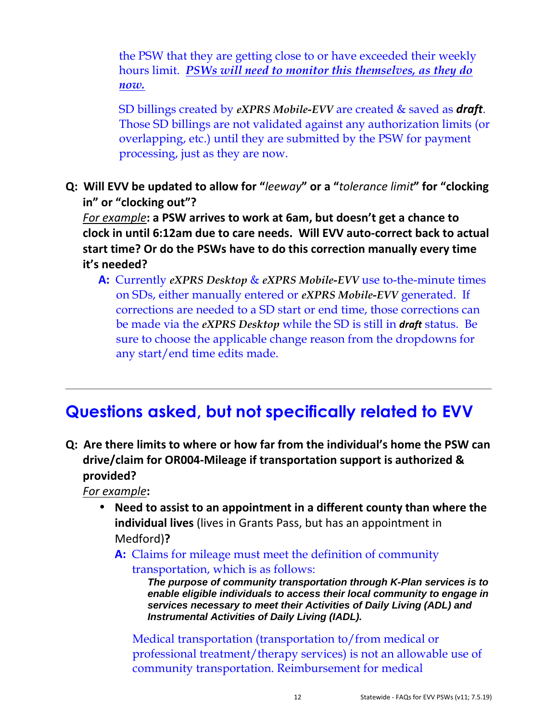the PSW that they are getting close to or have exceeded their weekly hours limit. *PSWs will need to monitor this themselves, as they do now.* 

 SD billings created by *eXPRS Mobile-EVV* are created & saved as *draft*. Those SD billings are not validated against any authorization limits (or overlapping, etc.) until they are submitted by the PSW for payment processing, just as they are now.

**Q: Will EVV be updated to allow for "***leeway***" or a "***tolerance limit***" for "clocking in" or "clocking out"?** 

*For example***: a PSW arrives to work at 6am, but doesn't get a chance to clock in until 6:12am due to care needs. Will EVV auto-correct back to actual start time? Or do the PSWs have to do this correction manually every time it's needed?** 

**A:** Currently *eXPRS Desktop* & *eXPRS Mobile-EVV* use to-the-minute times on SDs, either manually entered or *eXPRS Mobile-EVV* generated. If corrections are needed to a SD start or end time, those corrections can be made via the *eXPRS Desktop* while the SD is still in *draft* status. Be sure to choose the applicable change reason from the dropdowns for any start/end time edits made.

## **Questions asked, but not specifically related to EVV**

**Q: Are there limits to where or how far from the individual's home the PSW can drive/claim for OR004-Mileage if transportation support is authorized & provided?** 

*For example***:** 

- **Need to assist to an appointment in a different county than where the individual lives** (lives in Grants Pass, but has an appointment in Medford)**?** 
	- **A:** Claims for mileage must meet the definition of community transportation, which is as follows:

**The purpose of community transportation through K-Plan services is to enable eligible individuals to access their local community to engage in services necessary to meet their Activities of Daily Living (ADL) and Instrumental Activities of Daily Living (IADL).**

 Medical transportation (transportation to/from medical or professional treatment/therapy services) is not an allowable use of community transportation. Reimbursement for medical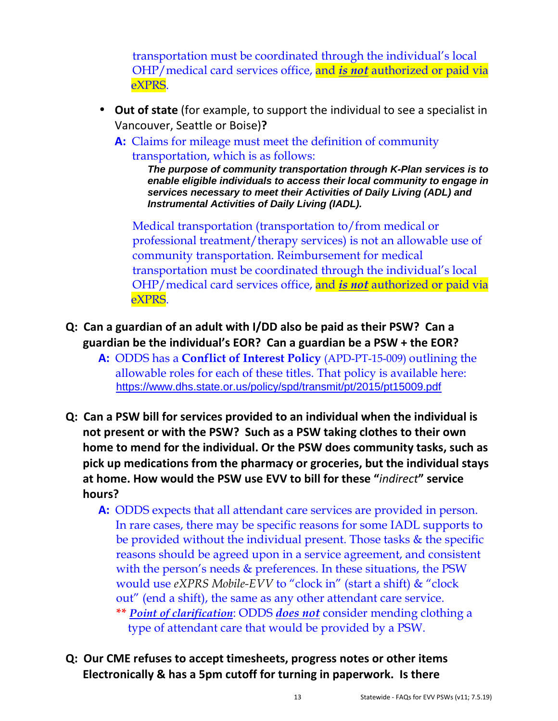transportation must be coordinated through the individual's local OHP/medical card services office, and *is not* authorized or paid via eXPRS.

- **Out of state** (for example, to support the individual to see a specialist in Vancouver, Seattle or Boise)**?** 
	- **A:** Claims for mileage must meet the definition of community transportation, which is as follows:

**The purpose of community transportation through K-Plan services is to enable eligible individuals to access their local community to engage in services necessary to meet their Activities of Daily Living (ADL) and Instrumental Activities of Daily Living (IADL).**

 Medical transportation (transportation to/from medical or professional treatment/therapy services) is not an allowable use of community transportation. Reimbursement for medical transportation must be coordinated through the individual's local OHP/medical card services office, and *is not* authorized or paid via eXPRS.

- **Q: Can a guardian of an adult with I/DD also be paid as their PSW? Can a guardian be the individual's EOR? Can a guardian be a PSW + the EOR?** 
	- **A:** ODDS has a **Conflict of Interest Policy** (APD-PT-15-009) outlining the allowable roles for each of these titles. That policy is available here: https://www.dhs.state.or.us/policy/spd/transmit/pt/2015/pt15009.pdf
- **Q: Can a PSW bill for services provided to an individual when the individual is not present or with the PSW? Such as a PSW taking clothes to their own home to mend for the individual. Or the PSW does community tasks, such as pick up medications from the pharmacy or groceries, but the individual stays at home. How would the PSW use EVV to bill for these "***indirect***" service hours?** 
	- **A:** ODDS expects that all attendant care services are provided in person. In rare cases, there may be specific reasons for some IADL supports to be provided without the individual present. Those tasks & the specific reasons should be agreed upon in a service agreement, and consistent with the person's needs  $&$  preferences. In these situations, the PSW would use *eXPRS Mobile-EVV* to "clock in" (start a shift) & "clock out" (end a shift), the same as any other attendant care service. **\*\*** *Point of clarification*: ODDS *does not* consider mending clothing a type of attendant care that would be provided by a PSW.
- **Q: Our CME refuses to accept timesheets, progress notes or other items Electronically & has a 5pm cutoff for turning in paperwork. Is there**